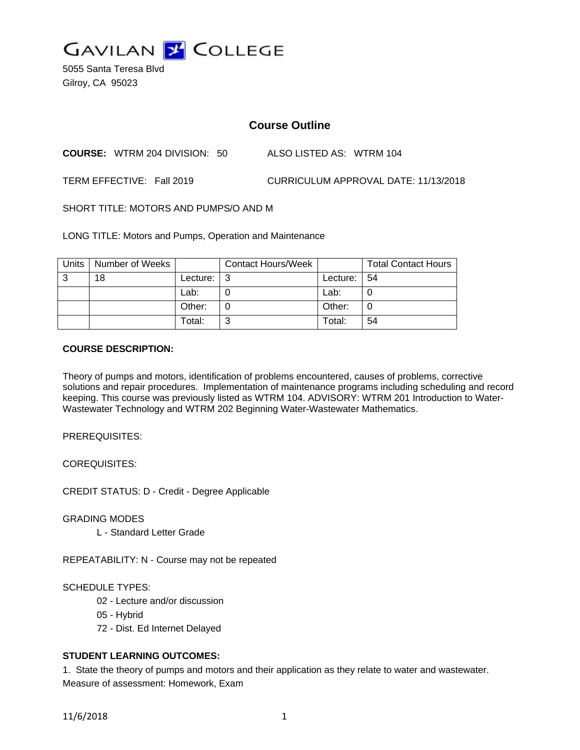

5055 Santa Teresa Blvd Gilroy, CA 95023

# **Course Outline**

**COURSE:** WTRM 204 DIVISION: 50 ALSO LISTED AS: WTRM 104

TERM EFFECTIVE: Fall 2019 CURRICULUM APPROVAL DATE: 11/13/2018

SHORT TITLE: MOTORS AND PUMPS/O AND M

LONG TITLE: Motors and Pumps, Operation and Maintenance

| <b>Units</b> | Number of Weeks |          | <b>Contact Hours/Week</b> |          | <b>Total Contact Hours</b> |
|--------------|-----------------|----------|---------------------------|----------|----------------------------|
| 3            | 18              | Lecture: |                           | Lecture: | 54                         |
|              |                 | ∟ab:     |                           | Lab:     |                            |
|              |                 | Other:   |                           | Other:   | U                          |
|              |                 | Total:   |                           | Total:   | 54                         |

#### **COURSE DESCRIPTION:**

Theory of pumps and motors, identification of problems encountered, causes of problems, corrective solutions and repair procedures. Implementation of maintenance programs including scheduling and record keeping. This course was previously listed as WTRM 104. ADVISORY: WTRM 201 Introduction to Water-Wastewater Technology and WTRM 202 Beginning Water-Wastewater Mathematics.

PREREQUISITES:

COREQUISITES:

CREDIT STATUS: D - Credit - Degree Applicable

GRADING MODES

L - Standard Letter Grade

REPEATABILITY: N - Course may not be repeated

## SCHEDULE TYPES:

- 02 Lecture and/or discussion
- 05 Hybrid
- 72 Dist. Ed Internet Delayed

## **STUDENT LEARNING OUTCOMES:**

1. State the theory of pumps and motors and their application as they relate to water and wastewater. Measure of assessment: Homework, Exam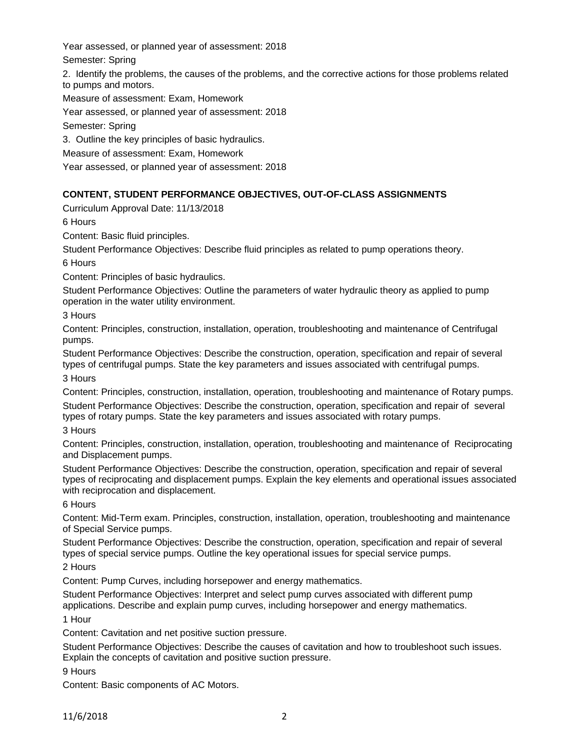Year assessed, or planned year of assessment: 2018

Semester: Spring

2. Identify the problems, the causes of the problems, and the corrective actions for those problems related to pumps and motors.

Measure of assessment: Exam, Homework

Year assessed, or planned year of assessment: 2018

Semester: Spring

3. Outline the key principles of basic hydraulics.

Measure of assessment: Exam, Homework

Year assessed, or planned year of assessment: 2018

# **CONTENT, STUDENT PERFORMANCE OBJECTIVES, OUT-OF-CLASS ASSIGNMENTS**

Curriculum Approval Date: 11/13/2018

6 Hours

Content: Basic fluid principles.

Student Performance Objectives: Describe fluid principles as related to pump operations theory.

6 Hours

Content: Principles of basic hydraulics.

Student Performance Objectives: Outline the parameters of water hydraulic theory as applied to pump operation in the water utility environment.

3 Hours

Content: Principles, construction, installation, operation, troubleshooting and maintenance of Centrifugal pumps.

Student Performance Objectives: Describe the construction, operation, specification and repair of several types of centrifugal pumps. State the key parameters and issues associated with centrifugal pumps. 3 Hours

Content: Principles, construction, installation, operation, troubleshooting and maintenance of Rotary pumps. Student Performance Objectives: Describe the construction, operation, specification and repair of several types of rotary pumps. State the key parameters and issues associated with rotary pumps.

3 Hours

Content: Principles, construction, installation, operation, troubleshooting and maintenance of Reciprocating and Displacement pumps.

Student Performance Objectives: Describe the construction, operation, specification and repair of several types of reciprocating and displacement pumps. Explain the key elements and operational issues associated with reciprocation and displacement.

6 Hours

Content: Mid-Term exam. Principles, construction, installation, operation, troubleshooting and maintenance of Special Service pumps.

Student Performance Objectives: Describe the construction, operation, specification and repair of several types of special service pumps. Outline the key operational issues for special service pumps.

2 Hours

Content: Pump Curves, including horsepower and energy mathematics.

Student Performance Objectives: Interpret and select pump curves associated with different pump applications. Describe and explain pump curves, including horsepower and energy mathematics.

1 Hour

Content: Cavitation and net positive suction pressure.

Student Performance Objectives: Describe the causes of cavitation and how to troubleshoot such issues. Explain the concepts of cavitation and positive suction pressure.

9 Hours

Content: Basic components of AC Motors.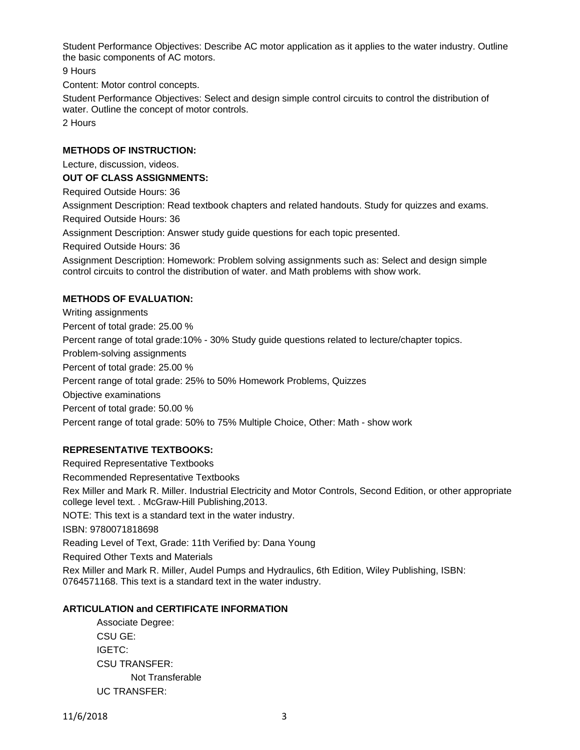Student Performance Objectives: Describe AC motor application as it applies to the water industry. Outline the basic components of AC motors.

9 Hours

Content: Motor control concepts.

Student Performance Objectives: Select and design simple control circuits to control the distribution of water. Outline the concept of motor controls.

2 Hours

## **METHODS OF INSTRUCTION:**

Lecture, discussion, videos.

#### **OUT OF CLASS ASSIGNMENTS:**

Required Outside Hours: 36

Assignment Description: Read textbook chapters and related handouts. Study for quizzes and exams.

Required Outside Hours: 36

Assignment Description: Answer study guide questions for each topic presented.

Required Outside Hours: 36

Assignment Description: Homework: Problem solving assignments such as: Select and design simple control circuits to control the distribution of water. and Math problems with show work.

#### **METHODS OF EVALUATION:**

Writing assignments Percent of total grade: 25.00 % Percent range of total grade:10% - 30% Study guide questions related to lecture/chapter topics. Problem-solving assignments Percent of total grade: 25.00 % Percent range of total grade: 25% to 50% Homework Problems, Quizzes Objective examinations Percent of total grade: 50.00 % Percent range of total grade: 50% to 75% Multiple Choice, Other: Math - show work

## **REPRESENTATIVE TEXTBOOKS:**

Required Representative Textbooks Recommended Representative Textbooks Rex Miller and Mark R. Miller. Industrial Electricity and Motor Controls, Second Edition, or other appropriate college level text. . McGraw-Hill Publishing,2013. NOTE: This text is a standard text in the water industry. ISBN: 9780071818698 Reading Level of Text, Grade: 11th Verified by: Dana Young Required Other Texts and Materials Rex Miller and Mark R. Miller, Audel Pumps and Hydraulics, 6th Edition, Wiley Publishing, ISBN: 0764571168. This text is a standard text in the water industry.

## **ARTICULATION and CERTIFICATE INFORMATION**

Associate Degree: CSU GE: IGETC: CSU TRANSFER: Not Transferable UC TRANSFER: